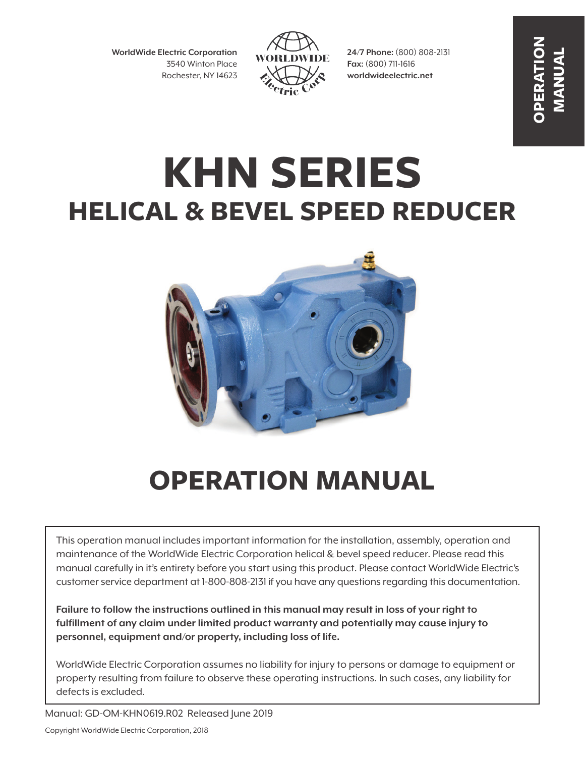**WorldWide Electric Corporation** 3540 Winton Place Rochester, NY 14623



**24/7 Phone:** (800) 808-2131 **Fax:** (800) 711-1616 **worldwideelectric.net**

**OPERATION MANUAL**

# **KHN SERIES HELICAL & BEVEL SPEED REDUCER**



# **OPERATION MANUAL**

This operation manual includes important information for the installation, assembly, operation and maintenance of the WorldWide Electric Corporation helical & bevel speed reducer. Please read this manual carefully in it's entirety before you start using this product. Please contact WorldWide Electric's customer service department at 1-800-808-2131 if you have any questions regarding this documentation.

**Failure to follow the instructions outlined in this manual may result in loss of your right to fulfillment of any claim under limited product warranty and potentially may cause injury to personnel, equipment and/or property, including loss of life.**

WorldWide Electric Corporation assumes no liability for injury to persons or damage to equipment or property resulting from failure to observe these operating instructions. In such cases, any liability for defects is excluded.

Manual: GD-OM-KHN0619.R02 Released June 2019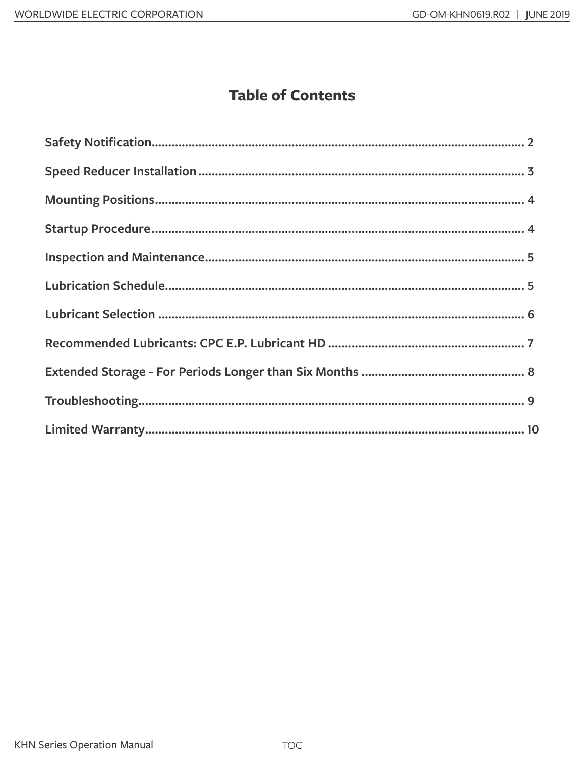#### **Table of Contents**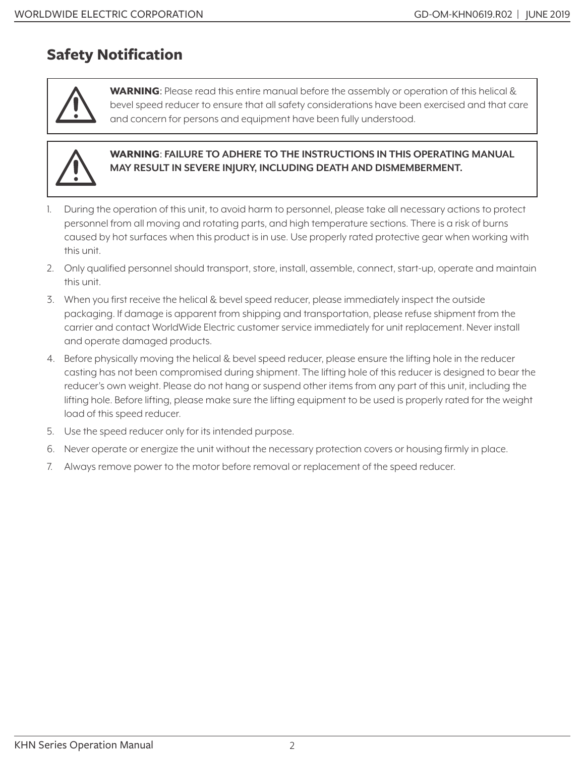#### **Safety Notification**



WARNING: Please read this entire manual before the assembly or operation of this helical & bevel speed reducer to ensure that all safety considerations have been exercised and that care and concern for persons and equipment have been fully understood.



#### WARNING: **FAILURE TO ADHERE TO THE INSTRUCTIONS IN THIS OPERATING MANUAL MAY RESULT IN SEVERE INJURY, INCLUDING DEATH AND DISMEMBERMENT.**

- 1. During the operation of this unit, to avoid harm to personnel, please take all necessary actions to protect personnel from all moving and rotating parts, and high temperature sections. There is a risk of burns caused by hot surfaces when this product is in use. Use properly rated protective gear when working with this unit.
- 2. Only qualified personnel should transport, store, install, assemble, connect, start-up, operate and maintain this unit.
- 3. When you first receive the helical & bevel speed reducer, please immediately inspect the outside packaging. If damage is apparent from shipping and transportation, please refuse shipment from the carrier and contact WorldWide Electric customer service immediately for unit replacement. Never install and operate damaged products.
- 4. Before physically moving the helical & bevel speed reducer, please ensure the lifting hole in the reducer casting has not been compromised during shipment. The lifting hole of this reducer is designed to bear the reducer's own weight. Please do not hang or suspend other items from any part of this unit, including the lifting hole. Before lifting, please make sure the lifting equipment to be used is properly rated for the weight load of this speed reducer.
- 5. Use the speed reducer only for its intended purpose.
- 6. Never operate or energize the unit without the necessary protection covers or housing firmly in place.
- 7. Always remove power to the motor before removal or replacement of the speed reducer.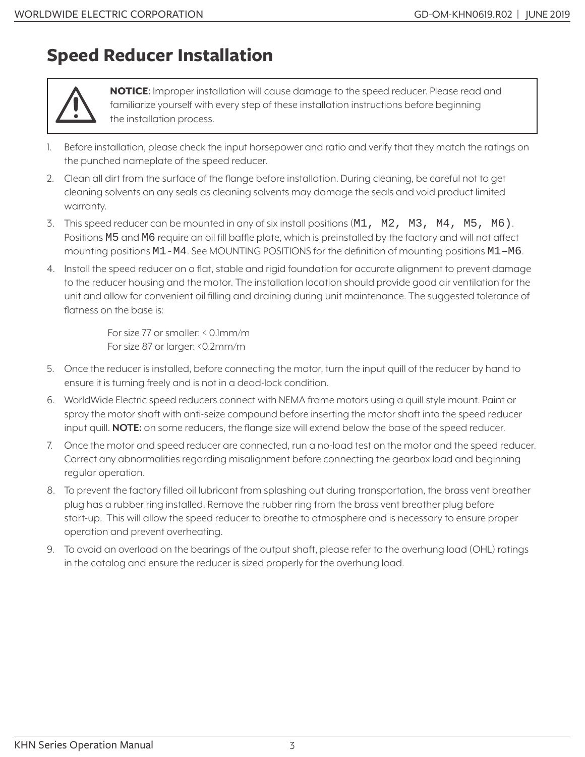## **Speed Reducer Installation**



NOTICE: Improper installation will cause damage to the speed reducer. Please read and familiarize yourself with every step of these installation instructions before beginning the installation process.

- 1. Before installation, please check the input horsepower and ratio and verify that they match the ratings on the punched nameplate of the speed reducer.
- 2. Clean all dirt from the surface of the flange before installation. During cleaning, be careful not to get cleaning solvents on any seals as cleaning solvents may damage the seals and void product limited warranty.
- 3. This speed reducer can be mounted in any of six install positions (M1, M2, M3, M4, M5, M6). Positions M5 and M6 require an oil fill baffle plate, which is preinstalled by the factory and will not affect mounting positions M1-M4. See MOUNTING POSITIONS for the definition of mounting positions M1–M6.
- 4. Install the speed reducer on a flat, stable and rigid foundation for accurate alignment to prevent damage to the reducer housing and the motor. The installation location should provide good air ventilation for the unit and allow for convenient oil filling and draining during unit maintenance. The suggested tolerance of flatness on the base is:

For size 77 or smaller: < 0.1mm/m For size 87 or larger: <0.2mm/m

- 5. Once the reducer is installed, before connecting the motor, turn the input quill of the reducer by hand to ensure it is turning freely and is not in a dead-lock condition.
- 6. WorldWide Electric speed reducers connect with NEMA frame motors using a quill style mount. Paint or spray the motor shaft with anti-seize compound before inserting the motor shaft into the speed reducer input quill. **NOTE:** on some reducers, the flange size will extend below the base of the speed reducer.
- 7. Once the motor and speed reducer are connected, run a no-load test on the motor and the speed reducer. Correct any abnormalities regarding misalignment before connecting the gearbox load and beginning regular operation.
- 8. To prevent the factory filled oil lubricant from splashing out during transportation, the brass vent breather plug has a rubber ring installed. Remove the rubber ring from the brass vent breather plug before start-up. This will allow the speed reducer to breathe to atmosphere and is necessary to ensure proper operation and prevent overheating.
- 9. To avoid an overload on the bearings of the output shaft, please refer to the overhung load (OHL) ratings in the catalog and ensure the reducer is sized properly for the overhung load.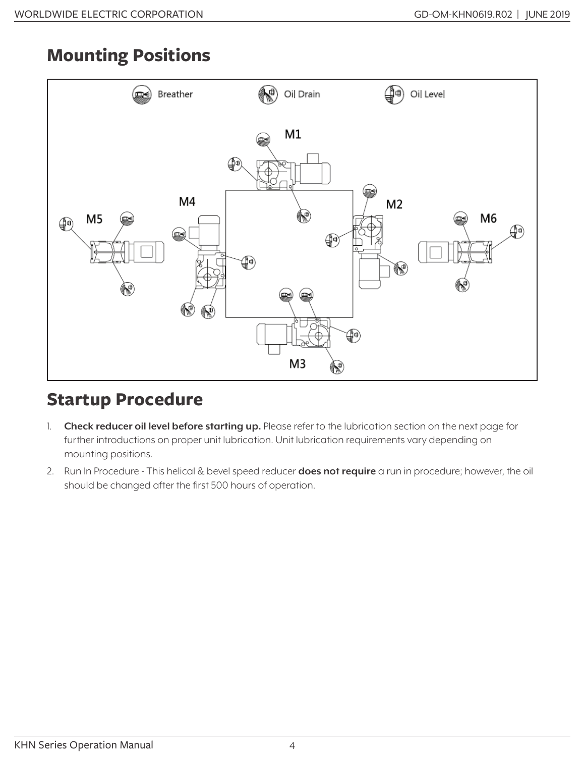# **Mounting Positions**



## **Startup Procedure**

- 1. **Check reducer oil level before starting up.** Please refer to the lubrication section on the next page for further introductions on proper unit lubrication. Unit lubrication requirements vary depending on mounting positions.
- 2. Run In Procedure This helical & bevel speed reducer **does not require** a run in procedure; however, the oil should be changed after the first 500 hours of operation.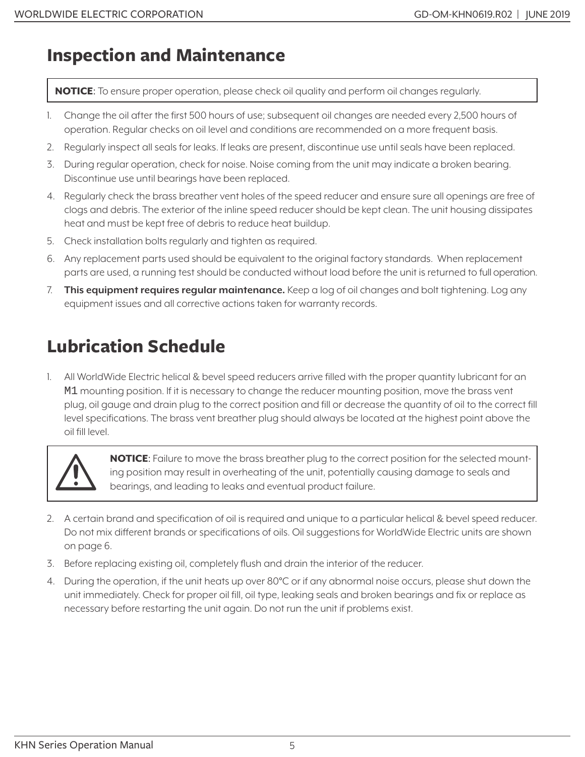### **Inspection and Maintenance**

NOTICE: To ensure proper operation, please check oil quality and perform oil changes regularly.

- 1. Change the oil after the first 500 hours of use; subsequent oil changes are needed every 2,500 hours of operation. Regular checks on oil level and conditions are recommended on a more frequent basis.
- 2. Regularly inspect all seals for leaks. If leaks are present, discontinue use until seals have been replaced.
- 3. During regular operation, check for noise. Noise coming from the unit may indicate a broken bearing. Discontinue use until bearings have been replaced.
- 4. Regularly check the brass breather vent holes of the speed reducer and ensure sure all openings are free of clogs and debris. The exterior of the inline speed reducer should be kept clean. The unit housing dissipates heat and must be kept free of debris to reduce heat buildup.
- 5. Check installation bolts regularly and tighten as required.
- 6. Any replacement parts used should be equivalent to the original factory standards. When replacement parts are used, a running test should be conducted without load before the unit is returned to full operation.
- 7. **This equipment requires regular maintenance.** Keep a log of oil changes and bolt tightening. Log any equipment issues and all corrective actions taken for warranty records.

# **Lubrication Schedule**

1. All WorldWide Electric helical & bevel speed reducers arrive filled with the proper quantity lubricant for an M1 mounting position. If it is necessary to change the reducer mounting position, move the brass vent plug, oil gauge and drain plug to the correct position and fill or decrease the quantity of oil to the correct fill level specifications. The brass vent breather plug should always be located at the highest point above the oil fill level.



**NOTICE:** Failure to move the brass breather plug to the correct position for the selected mounting position may result in overheating of the unit, potentially causing damage to seals and bearings, and leading to leaks and eventual product failure.

- 2. A certain brand and specification of oil is required and unique to a particular helical & bevel speed reducer. Do not mix different brands or specifications of oils. Oil suggestions for WorldWide Electric units are shown on page 6.
- 3. Before replacing existing oil, completely flush and drain the interior of the reducer.
- 4. During the operation, if the unit heats up over 80°C or if any abnormal noise occurs, please shut down the unit immediately. Check for proper oil fill, oil type, leaking seals and broken bearings and fix or replace as necessary before restarting the unit again. Do not run the unit if problems exist.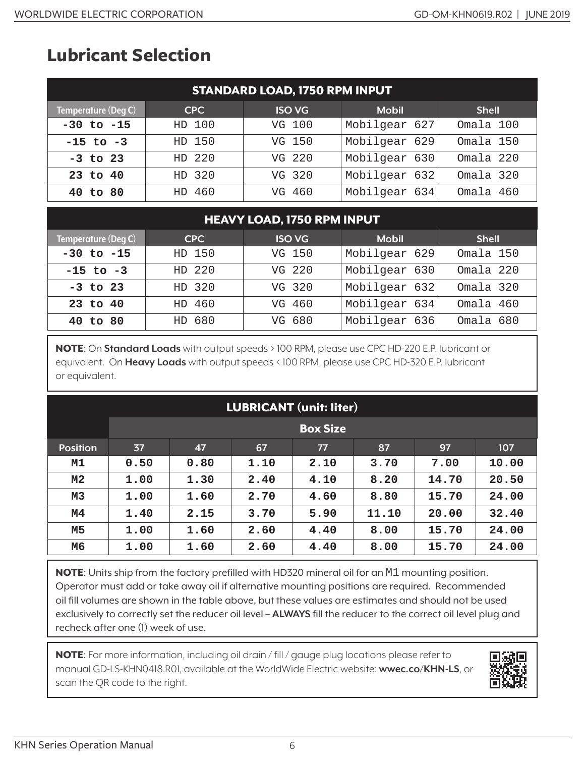# **Lubricant Selection**

| <b>STANDARD LOAD, 1750 RPM INPUT</b> |            |               |               |              |  |  |
|--------------------------------------|------------|---------------|---------------|--------------|--|--|
| Temperature (Deg C)                  | <b>CPC</b> | <b>ISO VG</b> | <b>Mobil</b>  | <b>Shell</b> |  |  |
| $-30$ to $-15$                       | HD 100     | VG 100        | Mobilgear 627 | Omala 100    |  |  |
| $-15$ to $-3$                        | HD 150     | VG 150        | Mobilgear 629 | Omala 150    |  |  |
| $-3$ to 23                           | HD 220     | VG 220        | Mobilgear 630 | Omala 220    |  |  |
| 23 to 40                             | HD 320     | VG 320        | Mobilgear 632 | Omala 320    |  |  |
| 40 to 80                             | HD 460     | VG 460        | Mobilgear 634 | Omala 460    |  |  |

#### HEAVY LOAD, 1750 RPM INPUT

| Temperature (Deg C) | <b>CPC</b> | <b>ISO VG</b> | <b>Mobil</b>  | <b>Shell</b> |
|---------------------|------------|---------------|---------------|--------------|
| $-30$ to $-15$      | HD 150     | VG 150        | Mobilgear 629 | Omala 150    |
| $-15$ to $-3$       | HD 220     | VG 220        | Mobilgear 630 | Omala 220    |
| $-3$ to 23          | HD 320     | VG 320        | Mobilgear 632 | Omala 320    |
| 23 to 40            | HD 460     | VG 460        | Mobilgear 634 | Omala 460    |
| 40 to 80            | HD 680     | VG 680        | Mobilgear 636 | Omala 680    |

NOTE: On **Standard Loads** with output speeds > 100 RPM, please use CPC HD-220 E.P. lubricant or equivalent. On **Heavy Loads** with output speeds < 100 RPM, please use CPC HD-320 E.P. lubricant or equivalent.

| <b>LUBRICANT</b> (unit: liter) |      |                 |      |      |       |       |       |
|--------------------------------|------|-----------------|------|------|-------|-------|-------|
|                                |      | <b>Box Size</b> |      |      |       |       |       |
| <b>Position</b>                | 37   | 47              | 67   | 77   | 87    | 97    | 107   |
| M1                             | 0.50 | 0.80            | 1.10 | 2.10 | 3.70  | 7.00  | 10.00 |
| M <sub>2</sub>                 | 1.00 | 1.30            | 2.40 | 4.10 | 8.20  | 14.70 | 20.50 |
| M3                             | 1.00 | 1.60            | 2.70 | 4.60 | 8.80  | 15.70 | 24.00 |
| М4                             | 1.40 | 2.15            | 3.70 | 5.90 | 11.10 | 20.00 | 32.40 |
| M5                             | 1.00 | 1.60            | 2.60 | 4.40 | 8.00  | 15.70 | 24.00 |
| M6                             | 1.00 | 1.60            | 2.60 | 4.40 | 8.00  | 15.70 | 24.00 |

NOTE: Units ship from the factory prefilled with HD320 mineral oil for an M1 mounting position. Operator must add or take away oil if alternative mounting positions are required. Recommended oil fill volumes are shown in the table above, but these values are estimates and should not be used exclusively to correctly set the reducer oil level – **ALWAYS** fill the reducer to the correct oil level plug and recheck after one (1) week of use.

NOTE: For more information, including oil drain / fill / gauge plug locations please refer to manual GD-LS-KHN0418.R01, available at the WorldWide Electric website: **wwec.co/KHN-LS**, or scan the QR code to the right.

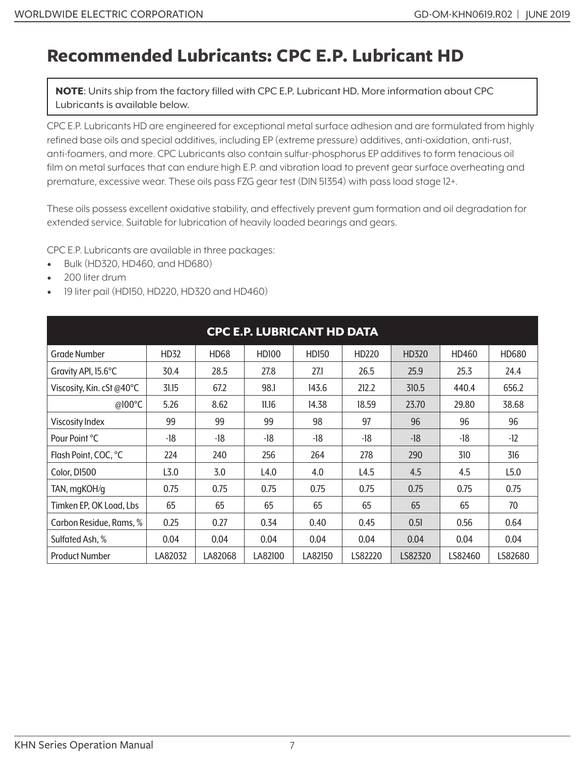### **Recommended Lubricants: CPC E.P. Lubricant HD**

NOTE: Units ship from the factory filled with CPC E.P. Lubricant HD. More information about CPC Lubricants is available below.

CPC E.P. Lubricants HD are engineered for exceptional metal surface adhesion and are formulated from highly refined base oils and special additives, including EP (extreme pressure) additives, anti-oxidation, anti-rust, anti-foamers, and more. CPC Lubricants also contain sulfur-phosphorus EP additives to form tenacious oil film on metal surfaces that can endure high E.P. and vibration load to prevent gear surface overheating and premature, excessive wear. These oils pass FZG gear test (DIN 51354) with pass load stage 12+.

These oils possess excellent oxidative stability, and effectively prevent gum formation and oil degradation for extended service. Suitable for lubrication of heavily loaded bearings and gears.

CPC E.P. Lubricants are available in three packages:

- Bulk (HD320, HD460, and HD680)
- 200 liter drum
- 19 liter pail (HD150, HD220, HD320 and HD460)

| <b>CPC E.P. LUBRICANT HD DATA</b> |                  |             |              |         |         |         |         |         |
|-----------------------------------|------------------|-------------|--------------|---------|---------|---------|---------|---------|
| <b>Grade Number</b>               | HD32             | <b>HD68</b> | <b>HD100</b> | HD150   | HD220   | HD320   | HD460   | HD680   |
| Gravity API, 15.6°C               | 30.4             | 28.5        | 27.8         | 27.1    | 26.5    | 25.9    | 25.3    | 24.4    |
| Viscosity, Kin. cSt @40°C         | 31.15            | 67.2        | 98.1         | 143.6   | 212.2   | 310.5   | 440.4   | 656.2   |
| @100°C                            | 5.26             | 8.62        | 11.16        | 14.38   | 18.59   | 23.70   | 29.80   | 38.68   |
| <b>Viscosity Index</b>            | 99               | 99          | 99           | 98      | 97      | 96      | 96      | 96      |
| Pour Point °C                     | -18              | -18         | -18          | -18     | -18     | $-18$   | -18     | $-12$   |
| Flash Point, COC, °C              | 224              | 240         | 256          | 264     | 278     | 290     | 310     | 316     |
| Color, D1500                      | L <sub>3.0</sub> | 3.0         | L4.0         | 4.0     | L4.5    | 4.5     | 4.5     | L5.0    |
| TAN, mgKOH/g                      | 0.75             | 0.75        | 0.75         | 0.75    | 0.75    | 0.75    | 0.75    | 0.75    |
| Timken EP, OK Load, Lbs           | 65               | 65          | 65           | 65      | 65      | 65      | 65      | 70      |
| Carbon Residue, Rams, %           | 0.25             | 0.27        | 0.34         | 0.40    | 0.45    | 0.51    | 0.56    | 0.64    |
| Sulfated Ash, %                   | 0.04             | 0.04        | 0.04         | 0.04    | 0.04    | 0.04    | 0.04    | 0.04    |
| <b>Product Number</b>             | LA82032          | LA82068     | LA82100      | LA82150 | LS82220 | LS82320 | LS82460 | LS82680 |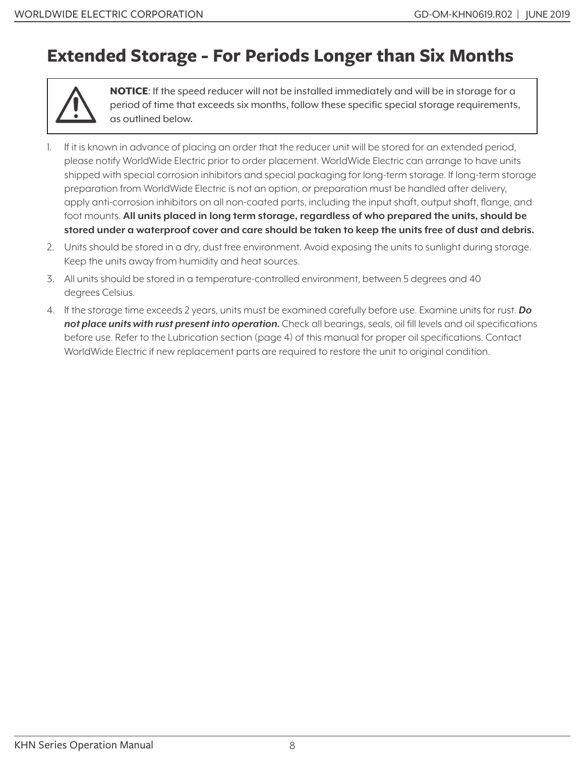### **Extended Storage - For Periods Longer than Six Months**



NOTICE: If the speed reducer will not be installed immediately and will be in storage for a period of time that exceeds six months, follow these specific special storage requirements, as outlined below.

- 1. If it is known in advance of placing an order that the reducer unit will be stored for an extended period, please notify WorldWide Electric prior to order placement. WorldWide Electric can arrange to have units shipped with special corrosion inhibitors and special packaging for long-term storage. If long-term storage preparation from WorldWide Electric is not an option, or preparation must be handled after delivery, apply anti-corrosion inhibitors on all non-coated parts, including the input shaft, output shaft, flange, and foot mounts. **All units placed in long term storage, regardless of who prepared the units, should be stored under a waterproof cover and care should be taken to keep the units free of dust and debris.**
- 2. Units should be stored in a dry, dust free environment. Avoid exposing the units to sunlight during storage. Keep the units away from humidity and heat sources.
- 3. All units should be stored in a temperature-controlled environment, between 5 degrees and 40 degrees Celsius.
- 4. If the storage time exceeds 2 years, units must be examined carefully before use. Examine units for rust. *Do not place units with rust present into operation.* Check all bearings, seals, oil fill levels and oil specifications before use. Refer to the Lubrication section (page 4) of this manual for proper oil specifications. Contact WorldWide Electric if new replacement parts are required to restore the unit to original condition.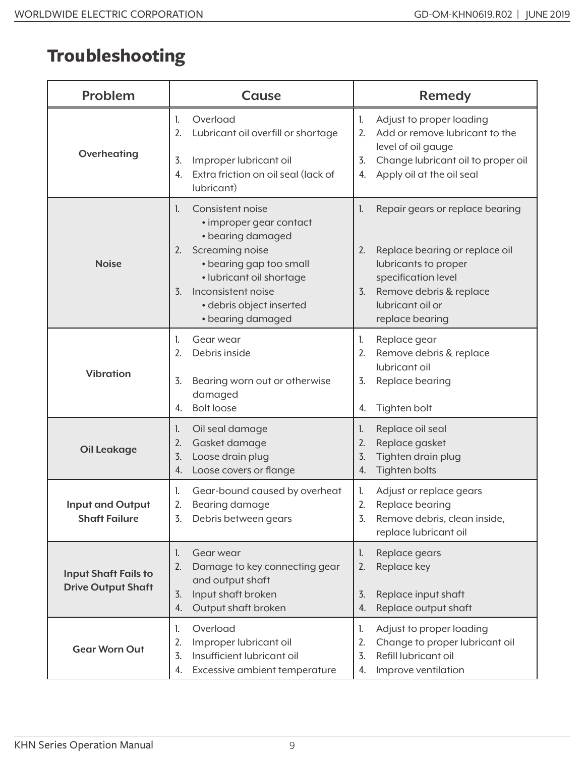# **Troubleshooting**

| <b>Problem</b>                                           | <b>Cause</b>                                                                                                                                                                                                                                      | <b>Remedy</b>                                                                                                                                                                                        |  |  |
|----------------------------------------------------------|---------------------------------------------------------------------------------------------------------------------------------------------------------------------------------------------------------------------------------------------------|------------------------------------------------------------------------------------------------------------------------------------------------------------------------------------------------------|--|--|
| Overheating                                              | Overload<br>1.<br>2.<br>Lubricant oil overfill or shortage<br>Improper lubricant oil<br>3.<br>Extra friction on oil seal (lack of<br>4.<br>lubricant)                                                                                             | Adjust to proper loading<br>1.<br>Add or remove lubricant to the<br>2.<br>level of oil gauge<br>Change lubricant oil to proper oil<br>3.<br>Apply oil at the oil seal<br>4.                          |  |  |
| <b>Noise</b>                                             | Consistent noise<br>1.<br>• improper gear contact<br>• bearing damaged<br>Screaming noise<br>2.<br>• bearing gap too small<br>· lubricant oil shortage<br>Inconsistent noise<br>$\overline{3}$ .<br>· debris object inserted<br>• bearing damaged | Repair gears or replace bearing<br>1.<br>Replace bearing or replace oil<br>2.<br>lubricants to proper<br>specification level<br>Remove debris & replace<br>3.<br>lubricant oil or<br>replace bearing |  |  |
| <b>Vibration</b>                                         | Gear wear<br>1.<br>2.<br>Debris inside<br>Bearing worn out or otherwise<br>3.<br>damaged<br><b>Bolt loose</b><br>4.                                                                                                                               | Replace gear<br>1.<br>Remove debris & replace<br>2.<br>lubricant oil<br>3.<br>Replace bearing<br>Tighten bolt<br>4.                                                                                  |  |  |
| <b>Oil Leakage</b>                                       | Oil seal damage<br>1.<br>Gasket damage<br>2.<br>Loose drain plug<br>3.<br>Loose covers or flange<br>4.                                                                                                                                            | Replace oil seal<br>1.<br>Replace gasket<br>2.<br>Tighten drain plug<br>3.<br>Tighten bolts<br>4.                                                                                                    |  |  |
| <b>Input and Output</b><br><b>Shaft Failure</b>          | Gear-bound caused by overheat<br>1.<br>2.<br>Bearing damage<br>3.<br>Debris between gears                                                                                                                                                         | Adjust or replace gears<br>L.<br>2.<br>Replace bearing<br>Remove debris, clean inside,<br>3.<br>replace lubricant oil                                                                                |  |  |
| <b>Input Shaft Fails to</b><br><b>Drive Output Shaft</b> | Gear wear<br>l.<br>Damage to key connecting gear<br>2.<br>and output shaft<br>Input shaft broken<br>3.<br>Output shaft broken<br>4.                                                                                                               | Replace gears<br>1.<br>Replace key<br>2.<br>Replace input shaft<br>3.<br>Replace output shaft<br>4.                                                                                                  |  |  |
| <b>Gear Worn Out</b>                                     | Overload<br>1.<br>Improper lubricant oil<br>2.<br>Insufficient lubricant oil<br>3.<br>Excessive ambient temperature<br>4.                                                                                                                         | Adjust to proper loading<br>1.<br>Change to proper lubricant oil<br>2.<br>Refill lubricant oil<br>3.<br>Improve ventilation<br>4.                                                                    |  |  |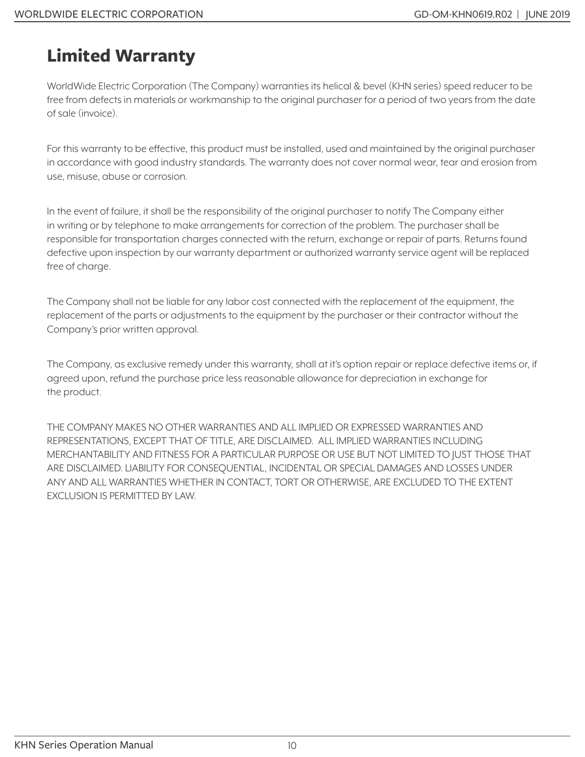# **Limited Warranty**

WorldWide Electric Corporation (The Company) warranties its helical & bevel (KHN series) speed reducer to be free from defects in materials or workmanship to the original purchaser for a period of two years from the date of sale (invoice).

For this warranty to be effective, this product must be installed, used and maintained by the original purchaser in accordance with good industry standards. The warranty does not cover normal wear, tear and erosion from use, misuse, abuse or corrosion.

In the event of failure, it shall be the responsibility of the original purchaser to notify The Company either in writing or by telephone to make arrangements for correction of the problem. The purchaser shall be responsible for transportation charges connected with the return, exchange or repair of parts. Returns found defective upon inspection by our warranty department or authorized warranty service agent will be replaced free of charge.

The Company shall not be liable for any labor cost connected with the replacement of the equipment, the replacement of the parts or adjustments to the equipment by the purchaser or their contractor without the Company's prior written approval.

The Company, as exclusive remedy under this warranty, shall at it's option repair or replace defective items or, if agreed upon, refund the purchase price less reasonable allowance for depreciation in exchange for the product.

THE COMPANY MAKES NO OTHER WARRANTIES AND ALL IMPLIED OR EXPRESSED WARRANTIES AND REPRESENTATIONS, EXCEPT THAT OF TITLE, ARE DISCLAIMED. ALL IMPLIED WARRANTIES INCLUDING MERCHANTABILITY AND FITNESS FOR A PARTICULAR PURPOSE OR USE BUT NOT LIMITED TO JUST THOSE THAT ARE DISCLAIMED. LIABILITY FOR CONSEQUENTIAL, INCIDENTAL OR SPECIAL DAMAGES AND LOSSES UNDER ANY AND ALL WARRANTIES WHETHER IN CONTACT, TORT OR OTHERWISE, ARE EXCLUDED TO THE EXTENT EXCLUSION IS PERMITTED BY LAW.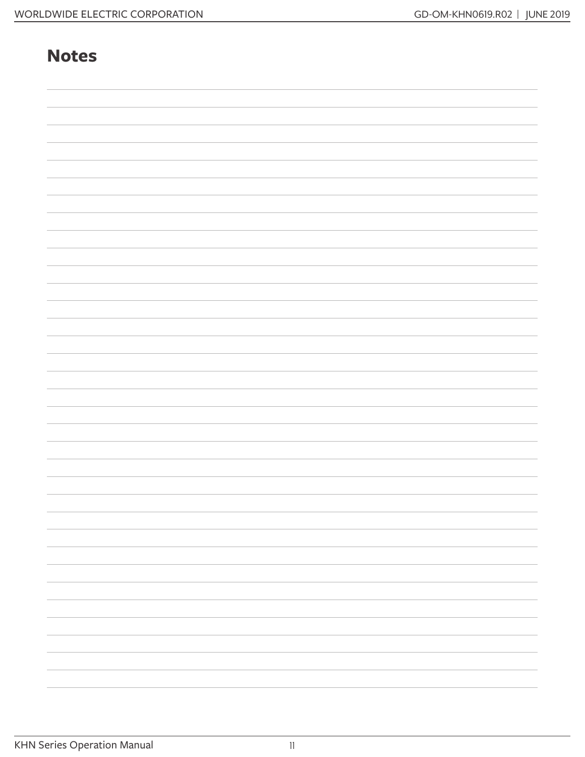#### **Notes**